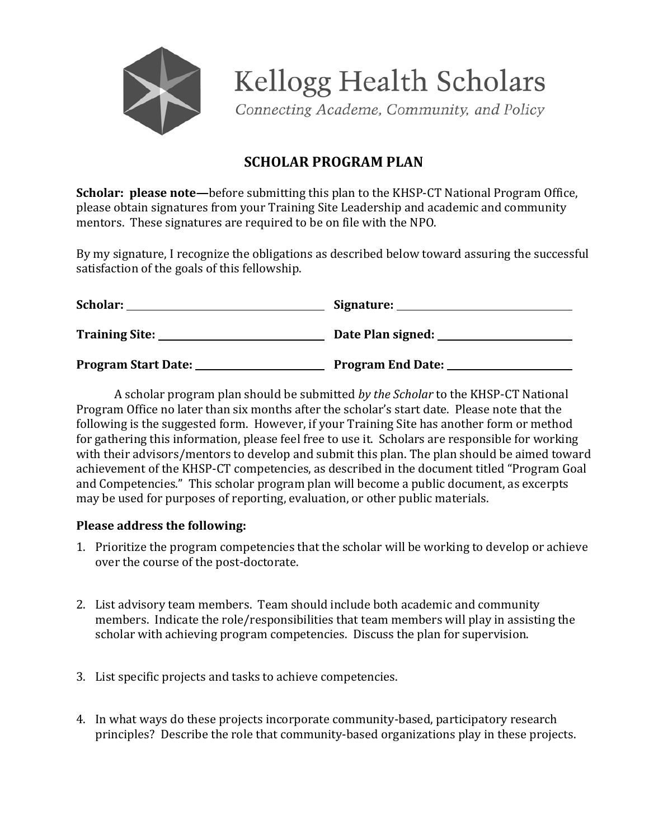

Connecting Academe, Community, and Policy

## **SCHOLAR PROGRAM PLAN**

**Scholar: please note—**before submitting this plan to the KHSP-CT National Program Office, please obtain signatures from your Training Site Leadership and academic and community mentors. These signatures are required to be on file with the NPO.

By my signature, I recognize the obligations as described below toward assuring the successful satisfaction of the goals of this fellowship.

| Scholar:                   | Signature:               |
|----------------------------|--------------------------|
| <b>Training Site:</b>      | Date Plan signed:        |
| <b>Program Start Date:</b> | <b>Program End Date:</b> |

A scholar program plan should be submitted *by the Scholar* to the KHSP‐CT National Program Office no later than six months after the scholar's start date. Please note that the following is the suggested form. However, if your Training Site has another form or method for gathering this information, please feel free to use it. Scholars are responsible for working with their advisors/mentors to develop and submit this plan. The plan should be aimed toward achievement of the KHSP‐CT competencies, as described in the document titled "Program Goal and Competencies." This scholar program plan will become a public document, as excerpts may be used for purposes of reporting, evaluation, or other public materials.

### **Please address the following:**

- 1. Prioritize the program competencies that the scholar will be working to develop or achieve over the course of the post‐doctorate.
- 2. List advisory team members. Team should include both academic and community members. Indicate the role/responsibilities that team members will play in assisting the scholar with achieving program competencies. Discuss the plan for supervision.
- 3. List specific projects and tasks to achieve competencies.
- 4. In what ways do these projects incorporate community‐based, participatory research principles? Describe the role that community‐based organizations play in these projects.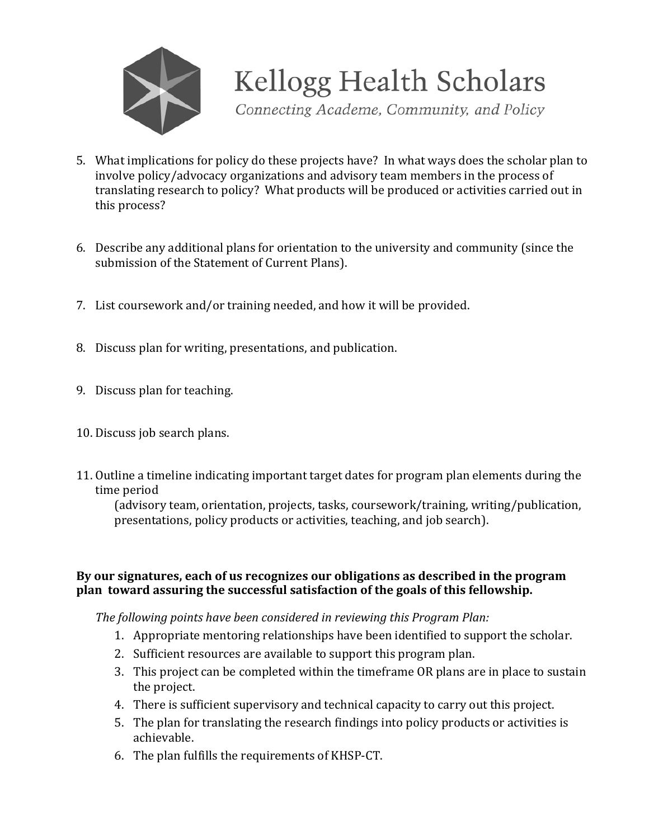

Connecting Academe, Community, and Policy

- 5. What implications for policy do these projects have? In what ways does the scholar plan to involve policy/advocacy organizations and advisory team members in the process of translating research to policy? What products will be produced or activities carried out in this process?
- 6. Describe any additional plans for orientation to the university and community (since the submission of the Statement of Current Plans).
- 7. List coursework and/or training needed, and how it will be provided.
- 8. Discuss plan for writing, presentations, and publication.
- 9. Discuss plan for teaching.
- 10. Discuss job search plans.
- 11. Outline a timeline indicating important target dates for program plan elements during the time period

(advisory team, orientation, projects, tasks, coursework/training, writing/publication, presentations, policy products or activities, teaching, and job search).

### **By our signatures, each of us recognizes our obligations as described in the program plan toward assuring the successful satisfaction of the goals of this fellowship.**

*The following points have been considered in reviewing this Program Plan:*

- 1. Appropriate mentoring relationships have been identified to support the scholar.
- 2. Sufficient resources are available to support this program plan.
- 3. This project can be completed within the timeframe OR plans are in place to sustain the project.
- 4. There is sufficient supervisory and technical capacity to carry out this project.
- 5. The plan for translating the research findings into policy products or activities is achievable.
- 6. The plan fulfills the requirements of KHSP‐CT.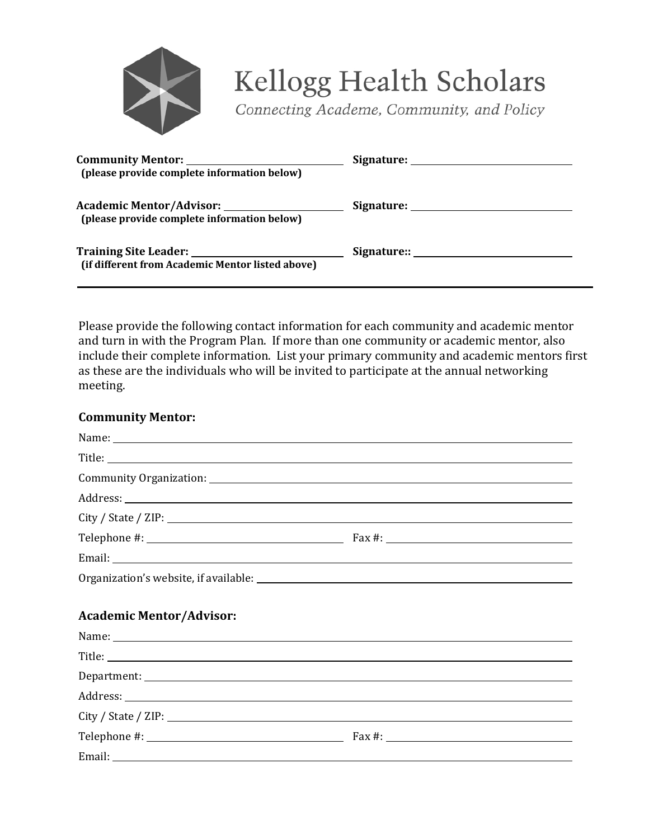

Connecting Academe, Community, and Policy

| (please provide complete information below)                                                    |  |
|------------------------------------------------------------------------------------------------|--|
| Academic Mentor/Advisor: ______________________<br>(please provide complete information below) |  |
| (if different from Academic Mentor listed above)                                               |  |

Please provide the following contact information for each community and academic mentor and turn in with the Program Plan. If more than one community or academic mentor, also include their complete information. List your primary community and academic mentors first as these are the individuals who will be invited to participate at the annual networking meeting.

#### **Community Mentor:**

| Community Organization: Community Organization:        |  |
|--------------------------------------------------------|--|
|                                                        |  |
|                                                        |  |
| Telephone #: $\frac{1}{2}$ Fax #:                      |  |
|                                                        |  |
|                                                        |  |
|                                                        |  |
| <b>Academic Mentor/Advisor:</b>                        |  |
|                                                        |  |
|                                                        |  |
|                                                        |  |
|                                                        |  |
|                                                        |  |
| Telephone #: $\frac{1}{2}$ Fax #: $\frac{1}{2}$ Fax #: |  |
|                                                        |  |